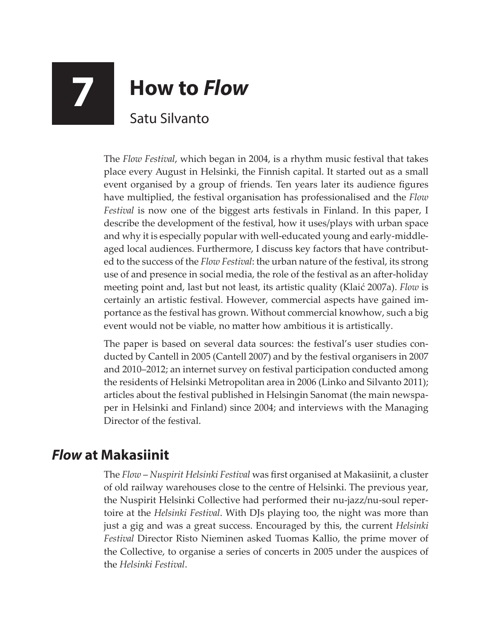## **7 How to** *Flow* Satu Silvanto

The *Flow Festival*, which began in 2004, is a rhythm music festival that takes place every August in Helsinki, the Finnish capital. It started out as a small event organised by a group of friends. Ten years later its audience figures have multiplied, the festival organisation has professionalised and the *Flow Festival* is now one of the biggest arts festivals in Finland. In this paper, I describe the development of the festival, how it uses/plays with urban space and why it is especially popular with well-educated young and early-middleaged local audiences. Furthermore, I discuss key factors that have contributed to the success of the *Flow Festival*: the urban nature of the festival, its strong use of and presence in social media, the role of the festival as an after-holiday meeting point and, last but not least, its artistic quality (Klaić 2007a). *Flow* is certainly an artistic festival. However, commercial aspects have gained importance as the festival has grown. Without commercial knowhow, such a big event would not be viable, no matter how ambitious it is artistically.

The paper is based on several data sources: the festival's user studies conducted by Cantell in 2005 (Cantell 2007) and by the festival organisers in 2007 and 2010–2012; an internet survey on festival participation conducted among the residents of Helsinki Metropolitan area in 2006 (Linko and Silvanto 2011); articles about the festival published in Helsingin Sanomat (the main newspaper in Helsinki and Finland) since 2004; and interviews with the Managing Director of the festival.

## *Flow* **at Makasiinit**

The *Flow* – *Nuspirit Helsinki Festival* was first organised at Makasiinit, a cluster of old railway warehouses close to the centre of Helsinki. The previous year, the Nuspirit Helsinki Collective had performed their nu-jazz/nu-soul repertoire at the *Helsinki Festival*. With DJs playing too, the night was more than just a gig and was a great success. Encouraged by this, the current *Helsinki Festival* Director Risto Nieminen asked Tuomas Kallio, the prime mover of the Collective, to organise a series of concerts in 2005 under the auspices of the *Helsinki Festival*.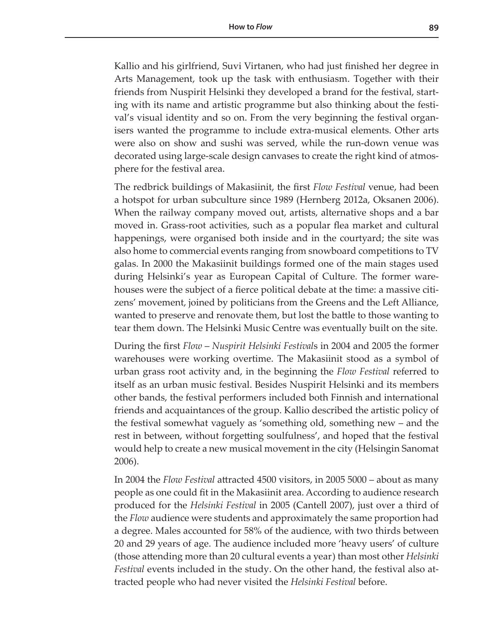Kallio and his girlfriend, Suvi Virtanen, who had just finished her degree in Arts Management, took up the task with enthusiasm. Together with their friends from Nuspirit Helsinki they developed a brand for the festival, starting with its name and artistic programme but also thinking about the festival's visual identity and so on. From the very beginning the festival organisers wanted the programme to include extra-musical elements. Other arts were also on show and sushi was served, while the run-down venue was decorated using large-scale design canvases to create the right kind of atmosphere for the festival area.

The redbrick buildings of Makasiinit, the first *Flow Festival* venue, had been a hotspot for urban subculture since 1989 (Hernberg 2012a, Oksanen 2006). When the railway company moved out, artists, alternative shops and a bar moved in. Grass-root activities, such as a popular flea market and cultural happenings, were organised both inside and in the courtyard; the site was also home to commercial events ranging from snowboard competitions to TV galas. In 2000 the Makasiinit buildings formed one of the main stages used during Helsinki's year as European Capital of Culture. The former warehouses were the subject of a fierce political debate at the time: a massive citizens' movement, joined by politicians from the Greens and the Left Alliance, wanted to preserve and renovate them, but lost the battle to those wanting to tear them down. The Helsinki Music Centre was eventually built on the site.

During the first *Flow* – *Nuspirit Helsinki Festival*s in 2004 and 2005 the former warehouses were working overtime. The Makasiinit stood as a symbol of urban grass root activity and, in the beginning the *Flow Festival* referred to itself as an urban music festival. Besides Nuspirit Helsinki and its members other bands, the festival performers included both Finnish and international friends and acquaintances of the group. Kallio described the artistic policy of the festival somewhat vaguely as 'something old, something new – and the rest in between, without forgetting soulfulness', and hoped that the festival would help to create a new musical movement in the city (Helsingin Sanomat 2006).

In 2004 the *Flow Festival* attracted 4500 visitors, in 2005 5000 – about as many people as one could fit in the Makasiinit area. According to audience research produced for the *Helsinki Festival* in 2005 (Cantell 2007), just over a third of the *Flow* audience were students and approximately the same proportion had a degree. Males accounted for 58% of the audience, with two thirds between 20 and 29 years of age. The audience included more 'heavy users' of culture (those attending more than 20 cultural events a year) than most other *Helsinki Festival* events included in the study. On the other hand, the festival also attracted people who had never visited the *Helsinki Festival* before.